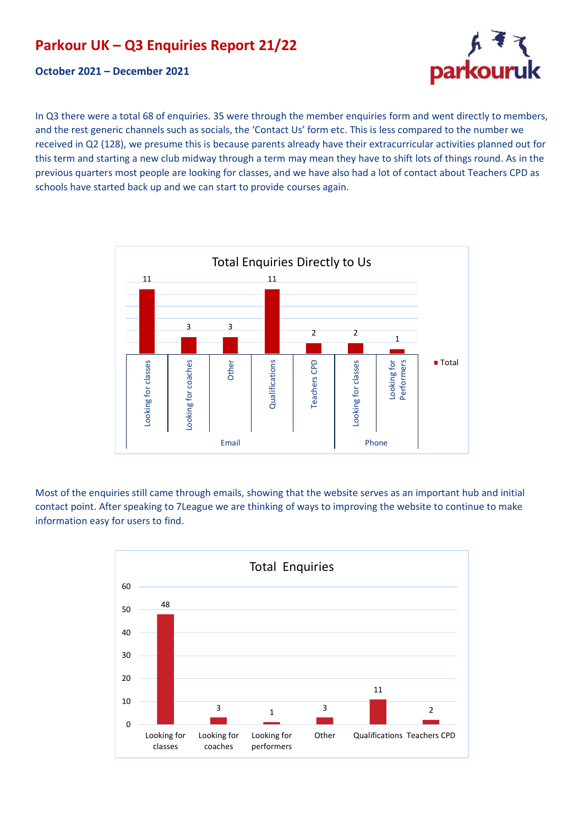# **Parkour UK – Q3 Enquiries Report 21/22**

#### **October 2021 – December 2021**

parkouruk

In Q3 there were a total 68 of enquiries. 35 were through the member enquiries form and went directly to members, and the rest generic channels such as socials, the 'Contact Us' form etc. This is less compared to the number we received in Q2 (128), we presume this is because parents already have their extracurricular activities planned out for this term and starting a new club midway through a term may mean they have to shift lots of things round. As in the previous quarters most people are looking for classes, and we have also had a lot of contact about Teachers CPD as schools have started back up and we can start to provide courses again.



Most of the enquiries still came through emails, showing that the website serves as an important hub and initial contact point. After speaking to 7League we are thinking of ways to improving the website to continue to make information easy for users to find.